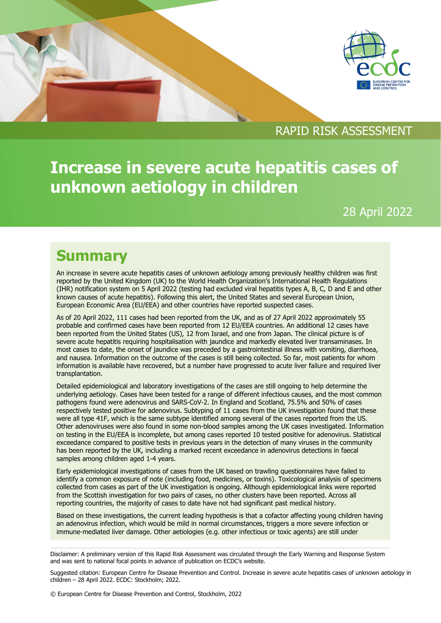



## RAPID RISK ASSESSMENT

**Increase in severe acute hepatitis cases of unknown aetiology in children** 

28 April 2022

## **Summary**

An increase in severe acute hepatitis cases of unknown aetiology among previously healthy children was first reported by the United Kingdom (UK) to the World Health Organization's International Health Regulations (IHR) notification system on 5 April 2022 (testing had excluded viral hepatitis types A, B, C, D and E and other known causes of acute hepatitis). Following this alert, the United States and several European Union, European Economic Area (EU/EEA) and other countries have reported suspected cases.

As of 20 April 2022, 111 cases had been reported from the UK, and as of 27 April 2022 approximately 55 probable and confirmed cases have been reported from 12 EU/EEA countries. An additional 12 cases have been reported from the United States (US), 12 from Israel, and one from Japan. The clinical picture is of severe acute hepatitis requiring hospitalisation with jaundice and markedly elevated liver transaminases. In most cases to date, the onset of jaundice was preceded by a gastrointestinal illness with vomiting, diarrhoea, and nausea. Information on the outcome of the cases is still being collected. So far, most patients for whom information is available have recovered, but a number have progressed to acute liver failure and required liver transplantation.

Detailed epidemiological and laboratory investigations of the cases are still ongoing to help determine the underlying aetiology. Cases have been tested for a range of different infectious causes, and the most common pathogens found were adenovirus and SARS-CoV-2. In England and Scotland, 75.5% and 50% of cases respectively tested positive for adenovirus. Subtyping of 11 cases from the UK investigation found that these were all type 41F, which is the same subtype identified among several of the cases reported from the US. Other adenoviruses were also found in some non-blood samples among the UK cases investigated. Information on testing in the EU/EEA is incomplete, but among cases reported 10 tested positive for adenovirus. Statistical exceedance compared to positive tests in previous years in the detection of many viruses in the community has been reported by the UK, including a marked recent exceedance in adenovirus detections in faecal samples among children aged 1-4 years.

Early epidemiological investigations of cases from the UK based on trawling questionnaires have failed to identify a common exposure of note (including food, medicines, or toxins). Toxicological analysis of specimens collected from cases as part of the UK investigation is ongoing. Although epidemiological links were reported from the Scottish investigation for two pairs of cases, no other clusters have been reported. Across all reporting countries, the majority of cases to date have not had significant past medical history.

Based on these investigations, the current leading hypothesis is that a cofactor affecting young children having an adenovirus infection, which would be mild in normal circumstances, triggers a more severe infection or immune-mediated liver damage. Other aetiologies (e.g. other infectious or toxic agents) are still under

Disclaimer: A preliminary version of this Rapid Risk Assessment was circulated through the Early Warning and Response System and was sent to national focal points in advance of publication on ECDC's website.

Suggested citation: European Centre for Disease Prevention and Control. Increase in severe acute hepatitis cases of unknown aetiology in children – 28 April 2022. ECDC: Stockholm; 2022.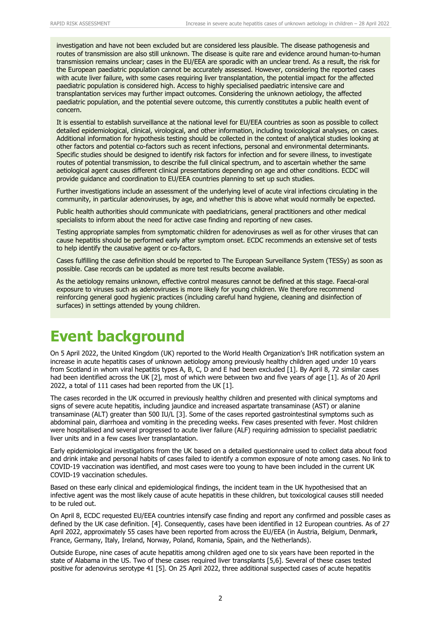investigation and have not been excluded but are considered less plausible. The disease pathogenesis and routes of transmission are also still unknown. The disease is quite rare and evidence around human-to-human transmission remains unclear; cases in the EU/EEA are sporadic with an unclear trend. As a result, the risk for the European paediatric population cannot be accurately assessed. However, considering the reported cases with acute liver failure, with some cases requiring liver transplantation, the potential impact for the affected paediatric population is considered high. Access to highly specialised paediatric intensive care and transplantation services may further impact outcomes. Considering the unknown aetiology, the affected paediatric population, and the potential severe outcome, this currently constitutes a public health event of concern.

It is essential to establish surveillance at the national level for EU/EEA countries as soon as possible to collect detailed epidemiological, clinical, virological, and other information, including toxicological analyses, on cases. Additional information for hypothesis testing should be collected in the context of analytical studies looking at other factors and potential co-factors such as recent infections, personal and environmental determinants. Specific studies should be designed to identify risk factors for infection and for severe illness, to investigate routes of potential transmission, to describe the full clinical spectrum, and to ascertain whether the same aetiological agent causes different clinical presentations depending on age and other conditions. ECDC will provide guidance and coordination to EU/EEA countries planning to set up such studies.

Further investigations include an assessment of the underlying level of acute viral infections circulating in the community, in particular adenoviruses, by age, and whether this is above what would normally be expected.

Public health authorities should communicate with paediatricians, general practitioners and other medical specialists to inform about the need for active case finding and reporting of new cases.

Testing appropriate samples from symptomatic children for adenoviruses as well as for other viruses that can cause hepatitis should be performed early after symptom onset. ECDC recommends an extensive set of tests to help identify the causative agent or co-factors.

Cases fulfilling the case definition should be reported to The European Surveillance System (TESSy) as soon as possible. Case records can be updated as more test results become available.

As the aetiology remains unknown, effective control measures cannot be defined at this stage. Faecal-oral exposure to viruses such as adenoviruses is more likely for young children. We therefore recommend reinforcing general good hygienic practices (including careful hand hygiene, cleaning and disinfection of surfaces) in settings attended by young children.

## **Event background**

On 5 April 2022, the United Kingdom (UK) reported to the World Health Organization's IHR notification system an increase in acute hepatitis cases of unknown aetiology among previously healthy children aged under 10 years from Scotland in whom viral hepatitis types A, B, C, D and E had been excluded [1]. By April 8, 72 similar cases had been identified across the UK [2], most of which were between two and five years of age [1]. As of 20 April 2022, a total of 111 cases had been reported from the UK [1].

The cases recorded in the UK occurred in previously healthy children and presented with clinical symptoms and signs of severe acute hepatitis, including jaundice and increased aspartate transaminase (AST) or alanine transaminase (ALT) greater than 500 IU/L [3]. Some of the cases reported gastrointestinal symptoms such as abdominal pain, diarrhoea and vomiting in the preceding weeks. Few cases presented with fever. Most children were hospitalised and several progressed to acute liver failure (ALF) requiring admission to specialist paediatric liver units and in a few cases liver transplantation.

Early epidemiological investigations from the UK based on a detailed questionnaire used to collect data about food and drink intake and personal habits of cases failed to identify a common exposure of note among cases. No link to COVID-19 vaccination was identified, and most cases were too young to have been included in the current UK COVID-19 vaccination schedules.

Based on these early clinical and epidemiological findings, the incident team in the UK hypothesised that an infective agent was the most likely cause of acute hepatitis in these children, but toxicological causes still needed to be ruled out.

On April 8, ECDC requested EU/EEA countries intensify case finding and report any confirmed and possible cases as defined by the UK case definition. [4]. Consequently, cases have been identified in 12 European countries. As of 27 April 2022, approximately 55 cases have been reported from across the EU/EEA (in Austria, Belgium, Denmark, France, Germany, Italy, Ireland, Norway, Poland, Romania, Spain, and the Netherlands).

Outside Europe, nine cases of acute hepatitis among children aged one to six years have been reported in the state of Alabama in the US. Two of these cases required liver transplants [5,6]. Several of these cases tested positive for adenovirus serotype 41 [5]. On 25 April 2022, three additional suspected cases of acute hepatitis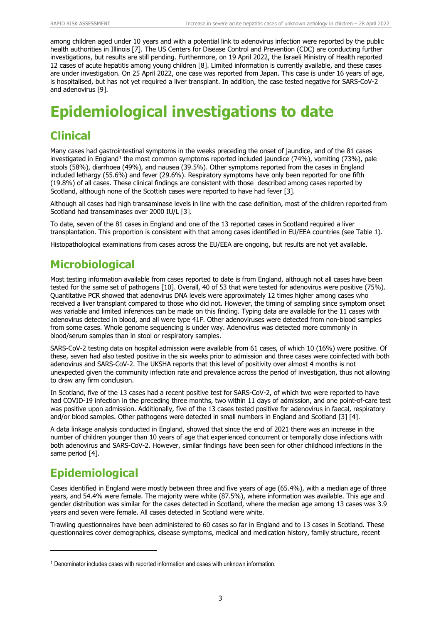among children aged under 10 years and with a potential link to adenovirus infection were reported by the public health authorities in Illinois [7]. The US Centers for Disease Control and Prevention (CDC) are conducting further investigations, but results are still pending. Furthermore, on 19 April 2022, the Israeli Ministry of Health reported 12 cases of acute hepatitis among young children [8]. Limited information is currently available, and these cases are under investigation. On 25 April 2022, one case was reported from Japan. This case is under 16 years of age, is hospitalised, but has not yet required a liver transplant. In addition, the case tested negative for SARS-CoV-2 and adenovirus [9].

# **Epidemiological investigations to date**

### **Clinical**

Many cases had gastrointestinal symptoms in the weeks preceding the onset of jaundice, and of the 81 cases investigated in England<sup>[1](#page-2-0)</sup> the most common symptoms reported included jaundice (74%), vomiting (73%), pale stools (58%), diarrhoea (49%), and nausea (39.5%). Other symptoms reported from the cases in England included lethargy (55.6%) and fever (29.6%). Respiratory symptoms have only been reported for one fifth (19.8%) of all cases. These clinical findings are consistent with those described among cases reported by Scotland, although none of the Scottish cases were reported to have had fever [3].

Although all cases had high transaminase levels in line with the case definition, most of the children reported from Scotland had transaminases over 2000 IU/L [3].

To date, seven of the 81 cases in England and one of the 13 reported cases in Scotland required a liver transplantation. This proportion is consistent with that among cases identified in EU/EEA countries (see Table 1).

Histopathological examinations from cases across the EU/EEA are ongoing, but results are not yet available.

## **Microbiological**

Most testing information available from cases reported to date is from England, although not all cases have been tested for the same set of pathogens [10]. Overall, 40 of 53 that were tested for adenovirus were positive (75%). Quantitative PCR showed that adenovirus DNA levels were approximately 12 times higher among cases who received a liver transplant compared to those who did not. However, the timing of sampling since symptom onset was variable and limited inferences can be made on this finding. Typing data are available for the 11 cases with adenovirus detected in blood, and all were type 41F. Other adenoviruses were detected from non-blood samples from some cases. Whole genome sequencing is under way. Adenovirus was detected more commonly in blood/serum samples than in stool or respiratory samples.

SARS-CoV-2 testing data on hospital admission were available from 61 cases, of which 10 (16%) were positive. Of these, seven had also tested positive in the six weeks prior to admission and three cases were coinfected with both adenovirus and SARS-CoV-2. The UKSHA reports that this level of positivity over almost 4 months is not unexpected given the community infection rate and prevalence across the period of investigation, thus not allowing to draw any firm conclusion.

In Scotland, five of the 13 cases had a recent positive test for SARS-CoV-2, of which two were reported to have had COVID-19 infection in the preceding three months, two within 11 days of admission, and one point-of-care test was positive upon admission. Additionally, five of the 13 cases tested positive for adenovirus in faecal, respiratory and/or blood samples. Other pathogens were detected in small numbers in England and Scotland [3] [4].

A data linkage analysis conducted in England, showed that since the end of 2021 there was an increase in the number of children younger than 10 years of age that experienced concurrent or temporally close infections with both adenovirus and SARS-CoV-2. However, similar findings have been seen for other childhood infections in the same period [4].

## **Epidemiological**

Cases identified in England were mostly between three and five years of age (65.4%), with a median age of three years, and 54.4% were female. The majority were white (87.5%), where information was available. This age and gender distribution was similar for the cases detected in Scotland, where the median age among 13 cases was 3.9 years and seven were female. All cases detected in Scotland were white.

Trawling questionnaires have been administered to 60 cases so far in England and to 13 cases in Scotland. These questionnaires cover demographics, disease symptoms, medical and medication history, family structure, recent

<span id="page-2-0"></span><sup>1</sup> Denominator includes cases with reported information and cases with unknown information.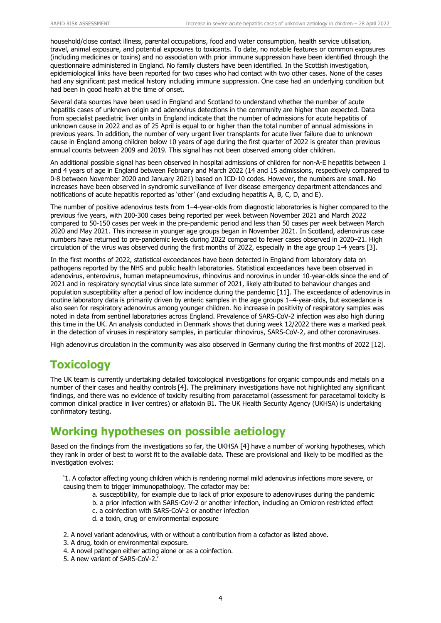household/close contact illness, parental occupations, food and water consumption, health service utilisation, travel, animal exposure, and potential exposures to toxicants. To date, no notable features or common exposures (including medicines or toxins) and no association with prior immune suppression have been identified through the questionnaire administered in England. No family clusters have been identified. In the Scottish investigation, epidemiological links have been reported for two cases who had contact with two other cases. None of the cases had any significant past medical history including immune suppression. One case had an underlying condition but had been in good health at the time of onset.

Several data sources have been used in England and Scotland to understand whether the number of acute hepatitis cases of unknown origin and adenovirus detections in the community are higher than expected. Data from specialist paediatric liver units in England indicate that the number of admissions for acute hepatitis of unknown cause in 2022 and as of 25 April is equal to or higher than the total number of annual admissions in previous years. In addition, the number of very urgent liver transplants for acute liver failure due to unknown cause in England among children below 10 years of age during the first quarter of 2022 is greater than previous annual counts between 2009 and 2019. This signal has not been observed among older children.

An additional possible signal has been observed in hospital admissions of children for non-A-E hepatitis between 1 and 4 years of age in England between February and March 2022 (14 and 15 admissions, respectively compared to 0-8 between November 2020 and January 2021) based on ICD-10 codes. However, the numbers are small. No increases have been observed in syndromic surveillance of liver disease emergency department attendances and notifications of acute hepatitis reported as 'other' (and excluding hepatitis A, B, C, D, and E).

The number of positive adenovirus tests from 1–4-year-olds from diagnostic laboratories is higher compared to the previous five years, with 200-300 cases being reported per week between November 2021 and March 2022 compared to 50-150 cases per week in the pre-pandemic period and less than 50 cases per week between March 2020 and May 2021. This increase in younger age groups began in November 2021. In Scotland, adenovirus case numbers have returned to pre-pandemic levels during 2022 compared to fewer cases observed in 2020–21. High circulation of the virus was observed during the first months of 2022, especially in the age group 1-4 years [3].

In the first months of 2022, statistical exceedances have been detected in England from laboratory data on pathogens reported by the NHS and public health laboratories. Statistical exceedances have been observed in adenovirus, enterovirus, human metapneumovirus, rhinovirus and norovirus in under 10-year-olds since the end of 2021 and in respiratory syncytial virus since late summer of 2021, likely attributed to behaviour changes and population susceptibility after a period of low incidence during the pandemic [11]. The exceedance of adenovirus in routine laboratory data is primarily driven by enteric samples in the age groups 1-4-year-olds, but exceedance is also seen for respiratory adenovirus among younger children. No increase in positivity of respiratory samples was noted in data from sentinel laboratories across England. Prevalence of SARS-CoV-2 infection was also high during this time in the UK. An analysis conducted in Denmark shows that during week 12/2022 there was a marked peak in the detection of viruses in respiratory samples, in particular rhinovirus, SARS-CoV-2, and other coronaviruses.

High adenovirus circulation in the community was also observed in Germany during the first months of 2022 [12].

## **Toxicology**

The UK team is currently undertaking detailed toxicological investigations for organic compounds and metals on a number of their cases and healthy controls [4]. The preliminary investigations have not highlighted any significant findings, and there was no evidence of toxicity resulting from paracetamol (assessment for paracetamol toxicity is common clinical practice in liver centres) or aflatoxin B1. The UK Health Security Agency (UKHSA) is undertaking confirmatory testing.

### **Working hypotheses on possible aetiology**

Based on the findings from the investigations so far, the UKHSA [4] have a number of working hypotheses, which they rank in order of best to worst fit to the available data. These are provisional and likely to be modified as the investigation evolves:

'1. A cofactor affecting young children which is rendering normal mild adenovirus infections more severe, or causing them to trigger immunopathology. The cofactor may be:

- a. susceptibility, for example due to lack of prior exposure to adenoviruses during the pandemic
- b. a prior infection with SARS-CoV-2 or another infection, including an Omicron restricted effect
- c. a coinfection with SARS-CoV-2 or another infection
- d. a toxin, drug or environmental exposure

2. A novel variant adenovirus, with or without a contribution from a cofactor as listed above.

- 3. A drug, toxin or environmental exposure.
- 4. A novel pathogen either acting alone or as a coinfection.
- 5. A new variant of SARS-CoV-2.'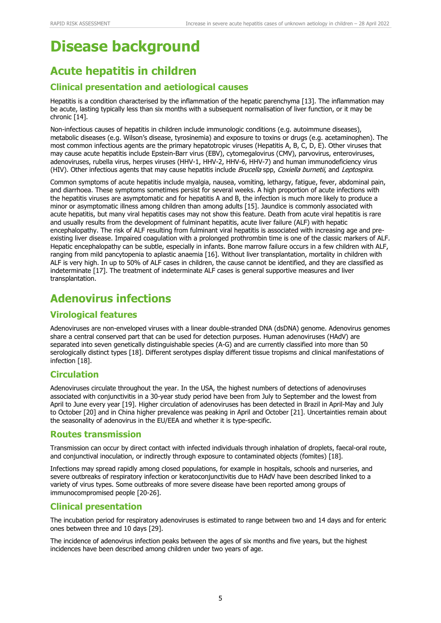## **Disease background**

## **Acute hepatitis in children**

### **Clinical presentation and aetiological causes**

Hepatitis is a condition characterised by the inflammation of the hepatic parenchyma [13]. The inflammation may be acute, lasting typically less than six months with a subsequent normalisation of liver function, or it may be chronic [14].

Non-infectious causes of hepatitis in children include immunologic conditions (e.g. autoimmune diseases), metabolic diseases (e.g. Wilson's disease, tyrosinemia) and exposure to toxins or drugs (e.g. acetaminophen). The most common infectious agents are the primary hepatotropic viruses (Hepatitis A, B, C, D, E). Other viruses that may cause acute hepatitis include Epstein-Barr virus (EBV), cytomegalovirus (CMV), parvovirus, enteroviruses, adenoviruses, rubella virus, herpes viruses (HHV-1, HHV-2, HHV-6, HHV-7) and human immunodeficiency virus (HIV). Other infectious agents that may cause hepatitis include Brucella spp, Coxiella burnetii, and Leptospira.

Common symptoms of acute hepatitis include myalgia, nausea, vomiting, lethargy, fatigue, fever, abdominal pain, and diarrhoea. These symptoms sometimes persist for several weeks. A high proportion of acute infections with the hepatitis viruses are asymptomatic and for hepatitis A and B, the infection is much more likely to produce a minor or asymptomatic illness among children than among adults [15]. Jaundice is commonly associated with acute hepatitis, but many viral hepatitis cases may not show this feature. Death from acute viral hepatitis is rare and usually results from the development of fulminant hepatitis, acute liver failure (ALF) with hepatic encephalopathy. The risk of ALF resulting from fulminant viral hepatitis is associated with increasing age and preexisting liver disease. Impaired coagulation with a prolonged prothrombin time is one of the classic markers of ALF. Hepatic encephalopathy can be subtle, especially in infants. Bone marrow failure occurs in a few children with ALF, ranging from mild pancytopenia to aplastic anaemia [16]. Without liver transplantation, mortality in children with ALF is very high. In up to 50% of ALF cases in children, the cause cannot be identified, and they are classified as indeterminate [17]. The treatment of indeterminate ALF cases is general supportive measures and liver transplantation.

## **Adenovirus infections**

### **Virological features**

Adenoviruses are non-enveloped viruses with a linear double-stranded DNA (dsDNA) genome. Adenovirus genomes share a central conserved part that can be used for detection purposes. Human adenoviruses (HAdV) are separated into seven genetically distinguishable species (A-G) and are currently classified into more than 50 serologically distinct types [18]. Different serotypes display different tissue tropisms and clinical manifestations of infection [18].

#### **Circulation**

Adenoviruses circulate throughout the year. In the USA, the highest numbers of detections of adenoviruses associated with conjunctivitis in a 30-year study period have been from July to September and the lowest from April to June every year [19]. Higher circulation of adenoviruses has been detected in Brazil in April-May and July to October [20] and in China higher prevalence was peaking in April and October [21]. Uncertainties remain about the seasonality of adenovirus in the EU/EEA and whether it is type-specific.

#### **Routes transmission**

Transmission can occur by direct contact with infected individuals through inhalation of droplets, faecal-oral route, and conjunctival inoculation, or indirectly through exposure to contaminated objects (fomites) [18].

Infections may spread rapidly among closed populations, for example in hospitals, schools and nurseries, and severe outbreaks of respiratory infection or keratoconjunctivitis due to HAdV have been described linked to a variety of virus types. Some outbreaks of more severe disease have been reported among groups of immunocompromised people [20-26].

### **Clinical presentation**

The incubation period for respiratory adenoviruses is estimated to range between two and 14 days and for enteric ones between three and 10 days [29].

The incidence of adenovirus infection peaks between the ages of six months and five years, but the highest incidences have been described among children under two years of age.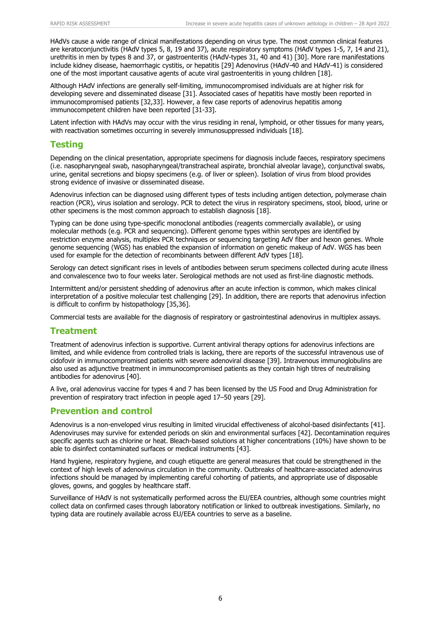HAdVs cause a wide range of clinical manifestations depending on virus type. The most common clinical features are keratoconjunctivitis (HAdV types 5, 8, 19 and 37), acute respiratory symptoms (HAdV types 1-5, 7, 14 and 21), urethritis in men by types 8 and 37, or gastroenteritis (HAdV-types 31, 40 and 41) [30]. More rare manifestations include kidney disease, haemorrhagic cystitis, or hepatitis [29] Adenovirus (HAdV-40 and HAdV-41) is considered one of the most important causative agents of acute viral gastroenteritis in young children [18].

Although HAdV infections are generally self-limiting, immunocompromised individuals are at higher risk for developing severe and disseminated disease [31]. Associated cases of hepatitis have mostly been reported in immunocompromised patients [32,33]. However, a few case reports of adenovirus hepatitis among immunocompetent children have been reported [31-33].

Latent infection with HAdVs may occur with the virus residing in renal, lymphoid, or other tissues for many years, with reactivation sometimes occurring in severely immunosuppressed individuals [18].

#### **Testing**

Depending on the clinical presentation, appropriate specimens for diagnosis include faeces, respiratory specimens (i.e. nasopharyngeal swab, nasopharyngeal/transtracheal aspirate, bronchial alveolar lavage), conjunctival swabs, urine, genital secretions and biopsy specimens (e.g. of liver or spleen). Isolation of virus from blood provides strong evidence of invasive or disseminated disease.

Adenovirus infection can be diagnosed using different types of tests including antigen detection, polymerase chain reaction (PCR), virus isolation and serology. PCR to detect the virus in respiratory specimens, stool, blood, urine or other specimens is the most common approach to establish diagnosis [18].

Typing can be done using type-specific monoclonal antibodies (reagents commercially available), or using molecular methods (e.g. PCR and sequencing). Different genome types within serotypes are identified by restriction enzyme analysis, multiplex PCR techniques or sequencing targeting AdV fiber and hexon genes. Whole genome sequencing (WGS) has enabled the expansion of information on genetic makeup of AdV. WGS has been used for example for the detection of recombinants between different AdV types [18].

Serology can detect significant rises in levels of antibodies between serum specimens collected during acute illness and convalescence two to four weeks later. Serological methods are not used as first-line diagnostic methods.

Intermittent and/or persistent shedding of adenovirus after an acute infection is common, which makes clinical interpretation of a positive molecular test challenging [29]. In addition, there are reports that adenovirus infection is difficult to confirm by histopathology [35,36].

Commercial tests are available for the diagnosis of respiratory or gastrointestinal adenovirus in multiplex assays.

#### **Treatment**

Treatment of adenovirus infection is supportive. Current antiviral therapy options for adenovirus infections are limited, and while evidence from controlled trials is lacking, there are reports of the successful intravenous use of cidofovir in immunocompromised patients with severe adenoviral disease [39]. Intravenous immunoglobulins are also used as adjunctive treatment in immunocompromised patients as they contain high titres of neutralising antibodies for adenovirus [40].

A live, oral adenovirus vaccine for types 4 and 7 has been licensed by the US Food and Drug Administration for prevention of respiratory tract infection in people aged 17–50 years [29].

#### **Prevention and control**

Adenovirus is a non-enveloped virus resulting in limited virucidal effectiveness of alcohol-based disinfectants [41]. Adenoviruses may survive for extended periods on skin and environmental surfaces [42]. Decontamination requires specific agents such as chlorine or heat. Bleach-based solutions at higher concentrations (10%) have shown to be able to disinfect contaminated surfaces or medical instruments [43].

Hand hygiene, respiratory hygiene, and cough etiquette are general measures that could be strengthened in the context of high levels of adenovirus circulation in the community. Outbreaks of healthcare-associated adenovirus infections should be managed by implementing careful cohorting of patients, and appropriate use of disposable gloves, gowns, and goggles by healthcare staff.

Surveillance of HAdV is not systematically performed across the EU/EEA countries, although some countries might collect data on confirmed cases through laboratory notification or linked to outbreak investigations. Similarly, no typing data are routinely available across EU/EEA countries to serve as a baseline.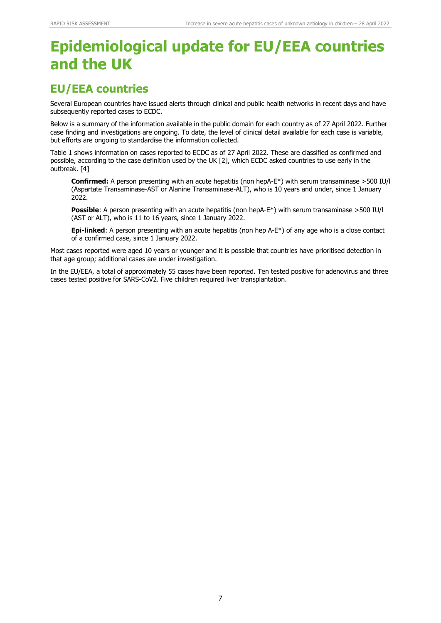# **Epidemiological update for EU/EEA countries and the UK**

### **EU/EEA countries**

Several European countries have issued alerts through clinical and public health networks in recent days and have subsequently reported cases to ECDC.

Below is a summary of the information available in the public domain for each country as of 27 April 2022. Further case finding and investigations are ongoing. To date, the level of clinical detail available for each case is variable, but efforts are ongoing to standardise the information collected.

Table 1 shows information on cases reported to ECDC as of 27 April 2022. These are classified as confirmed and possible, according to the case definition used by the UK [2], which ECDC asked countries to use early in the outbreak. [4]

**Confirmed:** A person presenting with an acute hepatitis (non hepA-E\*) with serum transaminase >500 IU/l (Aspartate Transaminase-AST or Alanine Transaminase-ALT), who is 10 years and under, since 1 January 2022.

**Possible**: A person presenting with an acute hepatitis (non hepA-E\*) with serum transaminase >500 IU/l (AST or ALT), who is 11 to 16 years, since 1 January 2022.

**Epi-linked**: A person presenting with an acute hepatitis (non hep A-E\*) of any age who is a close contact of a confirmed case, since 1 January 2022.

Most cases reported were aged 10 years or younger and it is possible that countries have prioritised detection in that age group; additional cases are under investigation.

In the EU/EEA, a total of approximately 55 cases have been reported. Ten tested positive for adenovirus and three cases tested positive for SARS-CoV2. Five children required liver transplantation.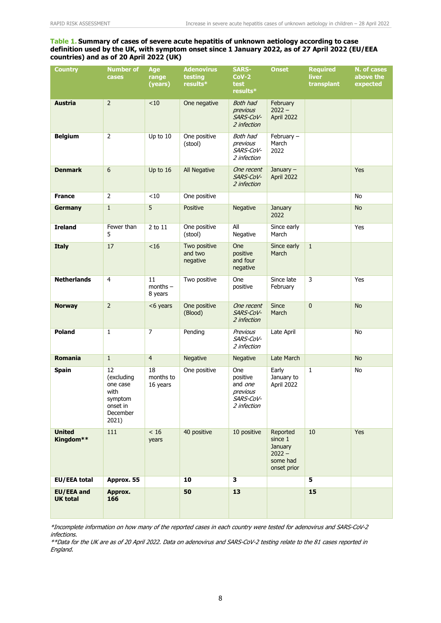#### **Table 1. Summary of cases of severe acute hepatitis of unknown aetiology according to case definition used by the UK, with symptom onset since 1 January 2022, as of 27 April 2022 (EU/EEA countries) and as of 20 April 2022 (UK)**

| <b>Country</b>                | <b>Number of</b><br>cases                                                        | Age<br>range<br>(years)     | <b>Adenovirus</b><br>testing<br>results* | <b>SARS-</b><br>$Cov-2$<br>test<br>results*                        | <b>Onset</b>                                                          | <b>Required</b><br>liver<br>transplant | N. of cases<br>above the<br>expected |
|-------------------------------|----------------------------------------------------------------------------------|-----------------------------|------------------------------------------|--------------------------------------------------------------------|-----------------------------------------------------------------------|----------------------------------------|--------------------------------------|
| <b>Austria</b>                | $\overline{2}$                                                                   | < 10                        | One negative                             | Both had<br>previous<br>SARS-CoV-<br>2 infection                   | February<br>$2022 -$<br>April 2022                                    |                                        |                                      |
| <b>Belgium</b>                | $\overline{2}$                                                                   | Up to 10                    | One positive<br>(stool)                  | Both had<br>previous<br>SARS-CoV-<br>2 infection                   | February $-$<br>March<br>2022                                         |                                        |                                      |
| <b>Denmark</b>                | 6                                                                                | Up to 16                    | All Negative                             | One recent<br>SARS-CoV-<br>2 infection                             | January $-$<br>April 2022                                             |                                        | Yes                                  |
| <b>France</b>                 | $\overline{2}$                                                                   | < 10                        | One positive                             |                                                                    |                                                                       |                                        | No                                   |
| <b>Germany</b>                | $\,1\,$                                                                          | 5                           | Positive                                 | Negative                                                           | January<br>2022                                                       |                                        | <b>No</b>                            |
| <b>Ireland</b>                | Fewer than<br>5                                                                  | 2 to 11                     | One positive<br>(stool)                  | All<br>Negative                                                    | Since early<br>March                                                  |                                        | Yes                                  |
| <b>Italy</b>                  | 17                                                                               | < 16                        | Two positive<br>and two<br>negative      | One<br>positive<br>and four<br>negative                            | Since early<br>March                                                  | $\mathbf{1}$                           |                                      |
| <b>Netherlands</b>            | $\overline{4}$                                                                   | 11<br>$months -$<br>8 years | Two positive                             | One<br>positive                                                    | Since late<br>February                                                | 3                                      | Yes                                  |
| <b>Norway</b>                 | $\overline{2}$                                                                   | <6 years                    | One positive<br>(Blood)                  | One recent<br>SARS-CoV-<br>2 infection                             | <b>Since</b><br>March                                                 | $\mathbf{0}$                           | <b>No</b>                            |
| <b>Poland</b>                 | $\mathbf{1}$                                                                     | $\overline{7}$              | Pending                                  | Previous<br>SARS-CoV-<br>2 infection                               | Late April                                                            |                                        | No                                   |
| <b>Romania</b>                | $\mathbf{1}$                                                                     | $\overline{4}$              | Negative                                 | Negative                                                           | Late March                                                            |                                        | <b>No</b>                            |
| <b>Spain</b>                  | 12<br>(excluding<br>one case<br>with<br>symptom<br>onset in<br>December<br>2021) | 18<br>months to<br>16 years | One positive                             | One<br>positive<br>and one<br>previous<br>SARS-CoV-<br>2 infection | Early<br>January to<br>April 2022                                     | $\mathbf{1}$                           | No                                   |
| <b>United</b><br>Kingdom**    | 111                                                                              | $<16$<br>years              | 40 positive                              | 10 positive                                                        | Reported<br>since 1<br>January<br>$2022 -$<br>some had<br>onset prior | 10                                     | Yes                                  |
| EU/EEA total                  | Approx. 55                                                                       |                             | 10                                       | 3                                                                  |                                                                       | 5                                      |                                      |
| EU/EEA and<br><b>UK total</b> | Approx.<br>166                                                                   |                             | 50                                       | 13                                                                 |                                                                       | 15                                     |                                      |

\*Incomplete information on how many of the reported cases in each country were tested for adenovirus and SARS-CoV-2 infections.

\*\*Data for the UK are as of 20 April 2022. Data on adenovirus and SARS-CoV-2 testing relate to the 81 cases reported in England.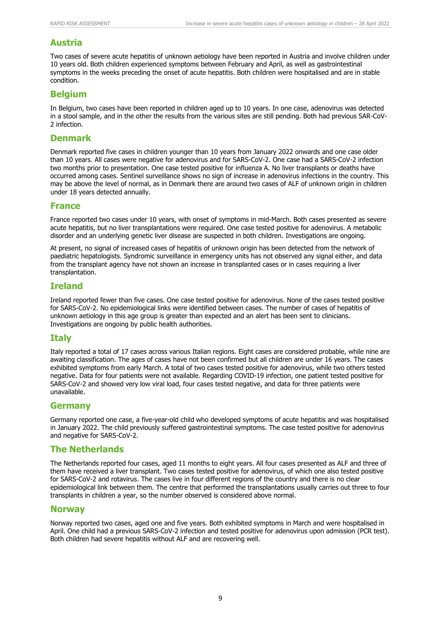#### **Austria**

Two cases of severe acute hepatitis of unknown aetiology have been reported in Austria and involve children under 10 years old. Both children experienced symptoms between February and April, as well as gastrointestinal symptoms in the weeks preceding the onset of acute hepatitis. Both children were hospitalised and are in stable condition.

#### **Belgium**

In Belgium, two cases have been reported in children aged up to 10 years. In one case, adenovirus was detected in a stool sample, and in the other the results from the various sites are still pending. Both had previous SAR-CoV-2 infection.

#### **Denmark**

Denmark reported five cases in children younger than 10 years from January 2022 onwards and one case older than 10 years. All cases were negative for adenovirus and for SARS-CoV-2. One case had a SARS-CoV-2 infection two months prior to presentation. One case tested positive for influenza A. No liver transplants or deaths have occurred among cases. Sentinel surveillance shows no sign of increase in adenovirus infections in the country. This may be above the level of normal, as in Denmark there are around two cases of ALF of unknown origin in children under 18 years detected annually.

#### **France**

France reported two cases under 10 years, with onset of symptoms in mid-March. Both cases presented as severe acute hepatitis, but no liver transplantations were required. One case tested positive for adenovirus. A metabolic disorder and an underlying genetic liver disease are suspected in both children. Investigations are ongoing.

At present, no signal of increased cases of hepatitis of unknown origin has been detected from the network of paediatric hepatologists. Syndromic surveillance in emergency units has not observed any signal either, and data from the transplant agency have not shown an increase in transplanted cases or in cases requiring a liver transplantation.

#### **Ireland**

Ireland reported fewer than five cases. One case tested positive for adenovirus. None of the cases tested positive for SARS-CoV-2. No epidemiological links were identified between cases. The number of cases of hepatitis of unknown aetiology in this age group is greater than expected and an alert has been sent to clinicians. Investigations are ongoing by public health authorities.

#### **Italy**

Italy reported a total of 17 cases across various Italian regions. Eight cases are considered probable, while nine are awaiting classification. The ages of cases have not been confirmed but all children are under 16 years. The cases exhibited symptoms from early March. A total of two cases tested positive for adenovirus, while two others tested negative. Data for four patients were not available. Regarding COVID-19 infection, one patient tested positive for SARS-CoV-2 and showed very low viral load, four cases tested negative, and data for three patients were unavailable.

#### **Germany**

Germany reported one case, a five-year-old child who developed symptoms of acute hepatitis and was hospitalised in January 2022. The child previously suffered gastrointestinal symptoms. The case tested positive for adenovirus and negative for SARS-CoV-2.

#### **The Netherlands**

The Netherlands reported four cases, aged 11 months to eight years. All four cases presented as ALF and three of them have received a liver transplant. Two cases tested positive for adenovirus, of which one also tested positive for SARS-CoV-2 and rotavirus. The cases live in four different regions of the country and there is no clear epidemiological link between them. The centre that performed the transplantations usually carries out three to four transplants in children a year, so the number observed is considered above normal.

#### **Norway**

Norway reported two cases, aged one and five years. Both exhibited symptoms in March and were hospitalised in April. One child had a previous SARS-CoV-2 infection and tested positive for adenovirus upon admission (PCR test). Both children had severe hepatitis without ALF and are recovering well.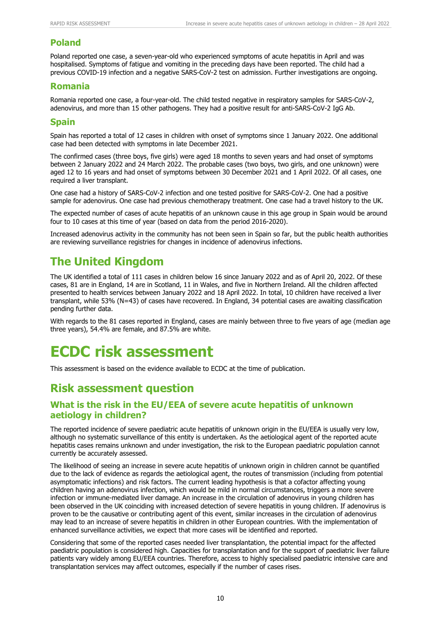#### **Poland**

Poland reported one case, a seven-year-old who experienced symptoms of acute hepatitis in April and was hospitalised. Symptoms of fatigue and vomiting in the preceding days have been reported. The child had a previous COVID-19 infection and a negative SARS-CoV-2 test on admission. Further investigations are ongoing.

#### **Romania**

Romania reported one case, a four-year-old. The child tested negative in respiratory samples for SARS-CoV-2, adenovirus, and more than 15 other pathogens. They had a positive result for anti-SARS-CoV-2 IgG Ab.

#### **Spain**

Spain has reported a total of 12 cases in children with onset of symptoms since 1 January 2022. One additional case had been detected with symptoms in late December 2021.

The confirmed cases (three boys, five girls) were aged 18 months to seven years and had onset of symptoms between 2 January 2022 and 24 March 2022. The probable cases (two boys, two girls, and one unknown) were aged 12 to 16 years and had onset of symptoms between 30 December 2021 and 1 April 2022. Of all cases, one required a liver transplant.

One case had a history of SARS-CoV-2 infection and one tested positive for SARS-CoV-2. One had a positive sample for adenovirus. One case had previous chemotherapy treatment. One case had a travel history to the UK.

The expected number of cases of acute hepatitis of an unknown cause in this age group in Spain would be around four to 10 cases at this time of year (based on data from the period 2016-2020).

Increased adenovirus activity in the community has not been seen in Spain so far, but the public health authorities are reviewing surveillance registries for changes in incidence of adenovirus infections.

## **The United Kingdom**

The UK identified a total of 111 cases in children below 16 since January 2022 and as of April 20, 2022. Of these cases, 81 are in England, 14 are in Scotland, 11 in Wales, and five in Northern Ireland. All the children affected presented to health services between January 2022 and 18 April 2022. In total, 10 children have received a liver transplant, while 53% (N=43) of cases have recovered. In England, 34 potential cases are awaiting classification pending further data.

With regards to the 81 cases reported in England, cases are mainly between three to five years of age (median age three years), 54.4% are female, and 87.5% are white.

## **ECDC risk assessment**

This assessment is based on the evidence available to ECDC at the time of publication.

### **Risk assessment question**

#### **What is the risk in the EU/EEA of severe acute hepatitis of unknown aetiology in children?**

The reported incidence of severe paediatric acute hepatitis of unknown origin in the EU/EEA is usually very low, although no systematic surveillance of this entity is undertaken. As the aetiological agent of the reported acute hepatitis cases remains unknown and under investigation, the risk to the European paediatric population cannot currently be accurately assessed.

The likelihood of seeing an increase in severe acute hepatitis of unknown origin in children cannot be quantified due to the lack of evidence as regards the aetiological agent, the routes of transmission (including from potential asymptomatic infections) and risk factors. The current leading hypothesis is that a cofactor affecting young children having an adenovirus infection, which would be mild in normal circumstances, triggers a more severe infection or immune-mediated liver damage. An increase in the circulation of adenovirus in young children has been observed in the UK coinciding with increased detection of severe hepatitis in young children. If adenovirus is proven to be the causative or contributing agent of this event, similar increases in the circulation of adenovirus may lead to an increase of severe hepatitis in children in other European countries. With the implementation of enhanced surveillance activities, we expect that more cases will be identified and reported.

Considering that some of the reported cases needed liver transplantation, the potential impact for the affected paediatric population is considered high. Capacities for transplantation and for the support of paediatric liver failure patients vary widely among EU/EEA countries. Therefore, access to highly specialised paediatric intensive care and transplantation services may affect outcomes, especially if the number of cases rises.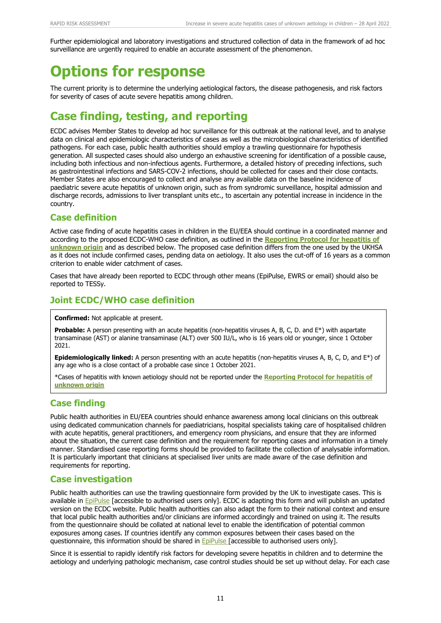Further epidemiological and laboratory investigations and structured collection of data in the framework of ad hoc surveillance are urgently required to enable an accurate assessment of the phenomenon.

# **Options for response**

The current priority is to determine the underlying aetiological factors, the disease pathogenesis, and risk factors for severity of cases of acute severe hepatitis among children.

## **Case finding, testing, and reporting**

ECDC advises Member States to develop ad hoc surveillance for this outbreak at the national level, and to analyse data on clinical and epidemiologic characteristics of cases as well as the microbiological characteristics of identified pathogens. For each case, public health authorities should employ a trawling questionnaire for hypothesis generation. All suspected cases should also undergo an exhaustive screening for identification of a possible cause, including both infectious and non-infectious agents. Furthermore, a detailed history of preceding infections, such as gastrointestinal infections and SARS-COV-2 infections, should be collected for cases and their close contacts. Member States are also encouraged to collect and analyse any available data on the baseline incidence of paediatric severe acute hepatitis of unknown origin, such as from syndromic surveillance, hospital admission and discharge records, admissions to liver transplant units etc., to ascertain any potential increase in incidence in the country.

#### **Case definition**

Active case finding of acute hepatitis cases in children in the EU/EEA should continue in a coordinated manner and according to the proposed ECDC-WHO case definition, as outlined in the **[Reporting Protocol for hepatitis of](https://www.ecdc.europa.eu/sites/default/files/documents/Hepatitis-of-unknown-origin-Reporting-Protocol.pdf)  [unknown origin](https://www.ecdc.europa.eu/sites/default/files/documents/Hepatitis-of-unknown-origin-Reporting-Protocol.pdf)** and as described below. The proposed case definition differs from the one used by the UKHSA as it does not include confirmed cases, pending data on aetiology. It also uses the cut-off of 16 years as a common criterion to enable wider catchment of cases.

Cases that have already been reported to ECDC through other means (EpiPulse, EWRS or email) should also be reported to TESSy.

### **Joint ECDC/WHO case definition**

**Confirmed:** Not applicable at present.

**Probable:** A person presenting with an acute hepatitis (non-hepatitis viruses A, B, C, D. and E<sup>\*</sup>) with aspartate transaminase (AST) or alanine transaminase (ALT) over 500 IU/L, who is 16 years old or younger, since 1 October 2021.

**Epidemiologically linked:** A person presenting with an acute hepatitis (non-hepatitis viruses A, B, C, D, and E\*) of any age who is a close contact of a probable case since 1 October 2021.

\*Cases of hepatitis with known aetiology should not be reported under the **[Reporting Protocol for hepatitis of](https://www.ecdc.europa.eu/sites/default/files/documents/Hepatitis-of-unknown-origin-Reporting-Protocol.pdf)  [unknown origin](https://www.ecdc.europa.eu/sites/default/files/documents/Hepatitis-of-unknown-origin-Reporting-Protocol.pdf)**

### **Case finding**

Public health authorities in EU/EEA countries should enhance awareness among local clinicians on this outbreak using dedicated communication channels for paediatricians, hospital specialists taking care of hospitalised children with acute hepatitis, general practitioners, and emergency room physicians, and ensure that they are informed about the situation, the current case definition and the requirement for reporting cases and information in a timely manner. Standardised case reporting forms should be provided to facilitate the collection of analysable information. It is particularly important that clinicians at specialised liver units are made aware of the case definition and requirements for reporting.

#### **Case investigation**

Public health authorities can use the trawling questionnaire form provided by the UK to investigate cases. This is available in [EpiPulse](https://epipulse.ecdc.europa.eu/ebs/#/item/details/2022-EIP-00027) [accessible to authorised users only]. ECDC is adapting this form and will publish an updated version on the ECDC website. Public health authorities can also adapt the form to their national context and ensure that local public health authorities and/or clinicians are informed accordingly and trained on using it. The results from the questionnaire should be collated at national level to enable the identification of potential common exposures among cases. If countries identify any common exposures between their cases based on the questionnaire, this information should be shared in **[EpiPulse](https://epipulse.ecdc.europa.eu/ebs/#/item/details/2022-EIP-00027)** [accessible to authorised users only].

Since it is essential to rapidly identify risk factors for developing severe hepatitis in children and to determine the aetiology and underlying pathologic mechanism, case control studies should be set up without delay. For each case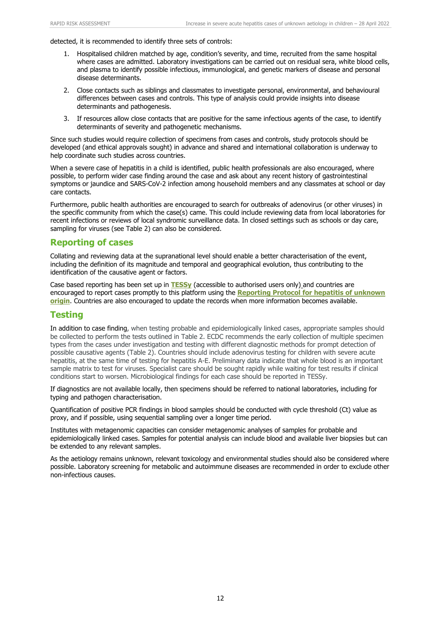detected, it is recommended to identify three sets of controls:

- 1. Hospitalised children matched by age, condition's severity, and time, recruited from the same hospital where cases are admitted. Laboratory investigations can be carried out on residual sera, white blood cells, and plasma to identify possible infectious, immunological, and genetic markers of disease and personal disease determinants.
- 2. Close contacts such as siblings and classmates to investigate personal, environmental, and behavioural differences between cases and controls. This type of analysis could provide insights into disease determinants and pathogenesis.
- 3. If resources allow close contacts that are positive for the same infectious agents of the case, to identify determinants of severity and pathogenetic mechanisms.

Since such studies would require collection of specimens from cases and controls, study protocols should be developed (and ethical approvals sought) in advance and shared and international collaboration is underway to help coordinate such studies across countries.

When a severe case of hepatitis in a child is identified, public health professionals are also encouraged, where possible, to perform wider case finding around the case and ask about any recent history of gastrointestinal symptoms or jaundice and SARS-CoV-2 infection among household members and any classmates at school or day care contacts.

Furthermore, public health authorities are encouraged to search for outbreaks of adenovirus (or other viruses) in the specific community from which the case(s) came. This could include reviewing data from local laboratories for recent infections or reviews of local syndromic surveillance data. In closed settings such as schools or day care, sampling for viruses (see Table 2) can also be considered.

#### **Reporting of cases**

Collating and reviewing data at the supranational level should enable a better characterisation of the event, including the definition of its magnitude and temporal and geographical evolution, thus contributing to the identification of the causative agent or factors.

Case based reporting has been set up in **[TESSy](https://tessy.ecdc.europa.eu/TessyWeb/)** (accessible to authorised users only) and countries are encouraged to report cases promptly to this platform using the **[Reporting Protocol for hepatitis of unknown](https://www.ecdc.europa.eu/sites/default/files/documents/Hepatitis-of-unknown-origin-Reporting-Protocol.pdf)  [origin](https://www.ecdc.europa.eu/sites/default/files/documents/Hepatitis-of-unknown-origin-Reporting-Protocol.pdf)**. Countries are also encouraged to update the records when more information becomes available.

#### **Testing**

In addition to case finding, when testing probable and epidemiologically linked cases, appropriate samples should be collected to perform the tests outlined in Table 2. ECDC recommends the early collection of multiple specimen types from the cases under investigation and testing with different diagnostic methods for prompt detection of possible causative agents (Table 2). Countries should include adenovirus testing for children with severe acute hepatitis, at the same time of testing for hepatitis A-E. Preliminary data indicate that whole blood is an important sample matrix to test for viruses. Specialist care should be sought rapidly while waiting for test results if clinical conditions start to worsen. Microbiological findings for each case should be reported in TESSy.

If diagnostics are not available locally, then specimens should be referred to national laboratories, including for typing and pathogen characterisation.

Quantification of positive PCR findings in blood samples should be conducted with cycle threshold (Ct) value as proxy, and if possible, using sequential sampling over a longer time period.

Institutes with metagenomic capacities can consider metagenomic analyses of samples for probable and epidemiologically linked cases. Samples for potential analysis can include blood and available liver biopsies but can be extended to any relevant samples.

As the aetiology remains unknown, relevant toxicology and environmental studies should also be considered where possible. Laboratory screening for metabolic and autoimmune diseases are recommended in order to exclude other non-infectious causes.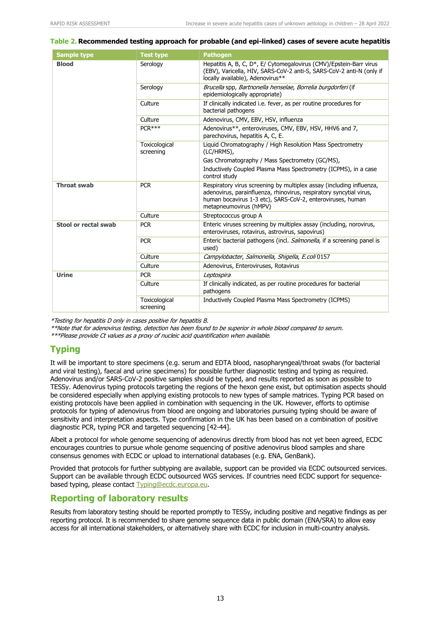#### **Table 2. Recommended testing approach for probable (and epi-linked) cases of severe acute hepatitis**

| <b>Sample type</b>   | <b>Test type</b>           | <b>Pathogen</b>                                                                                                                                                                                                                     |  |  |  |
|----------------------|----------------------------|-------------------------------------------------------------------------------------------------------------------------------------------------------------------------------------------------------------------------------------|--|--|--|
| <b>Blood</b>         | Serology                   | Hepatitis A, B, C, D*, E/ Cytomegalovirus (CMV)/Epstein-Barr virus<br>(EBV), Varicella, HIV, SARS-CoV-2 anti-S, SARS-CoV-2 anti-N (only if<br>locally available), Adenovirus**                                                      |  |  |  |
|                      | Serology                   | Brucella spp, Bartnonella henselae, Borrelia burgdorferi (if<br>epidemiologically appropriate)                                                                                                                                      |  |  |  |
|                      | Culture                    | If clinically indicated i.e. fever, as per routine procedures for<br>bacterial pathogens                                                                                                                                            |  |  |  |
|                      | Culture                    | Adenovirus, CMV, EBV, HSV, influenza                                                                                                                                                                                                |  |  |  |
|                      | $PCR***$                   | Adenovirus**, enteroviruses, CMV, EBV, HSV, HHV6 and 7,<br>parechovirus, hepatitis A, C, E.                                                                                                                                         |  |  |  |
|                      | Toxicological<br>screening | Liquid Chromatography / High Resolution Mass Spectrometry<br>(LC/HRMS),                                                                                                                                                             |  |  |  |
|                      |                            | Gas Chromatography / Mass Spectrometry (GC/MS),                                                                                                                                                                                     |  |  |  |
|                      |                            | Inductively Coupled Plasma Mass Spectrometry (ICPMS), in a case<br>control study                                                                                                                                                    |  |  |  |
| <b>Throat swab</b>   | <b>PCR</b>                 | Respiratory virus screening by multiplex assay (including influenza,<br>adenovirus, parainfluenza, rhinovirus, respiratory syncytial virus,<br>human bocavirus 1-3 etc), SARS-CoV-2, enteroviruses, human<br>metapneumovirus (hMPV) |  |  |  |
|                      | Culture                    | Streptococcus group A                                                                                                                                                                                                               |  |  |  |
| Stool or rectal swab | <b>PCR</b>                 | Enteric viruses screening by multiplex assay (including, norovirus,<br>enteroviruses, rotavirus, astrovirus, sapovirus)                                                                                                             |  |  |  |
|                      | <b>PCR</b>                 | Enteric bacterial pathogens (incl. Salmonella, if a screening panel is<br>used)                                                                                                                                                     |  |  |  |
|                      | Culture                    | Campylobacter, Salmonella, Shigella, E.coli 0157                                                                                                                                                                                    |  |  |  |
|                      | Culture                    | Adenovirus, Enteroviruses, Rotavirus                                                                                                                                                                                                |  |  |  |
| <b>Urine</b>         | <b>PCR</b>                 | Leptospira                                                                                                                                                                                                                          |  |  |  |
|                      | Culture                    | If clinically indicated, as per routine procedures for bacterial<br>pathogens                                                                                                                                                       |  |  |  |
|                      | Toxicological<br>screening | Inductively Coupled Plasma Mass Spectrometry (ICPMS)                                                                                                                                                                                |  |  |  |

\*Testing for hepatitis D only in cases positive for hepatitis B.

\*\*Note that for adenovirus testing, detection has been found to be superior in whole blood compared to serum.

\*\*\*Please provide Ct values as a proxy of nucleic acid quantification when available.

#### **Typing**

It will be important to store specimens (e.g. serum and EDTA blood, nasopharyngeal/throat swabs (for bacterial and viral testing), faecal and urine specimens) for possible further diagnostic testing and typing as required. Adenovirus and/or SARS-CoV-2 positive samples should be typed, and results reported as soon as possible to TESSy. Adenovirus typing protocols targeting the regions of the hexon gene exist, but optimisation aspects should be considered especially when applying existing protocols to new types of sample matrices. Typing PCR based on existing protocols have been applied in combination with sequencing in the UK. However, efforts to optimise protocols for typing of adenovirus from blood are ongoing and laboratories pursuing typing should be aware of sensitivity and interpretation aspects. Type confirmation in the UK has been based on a combination of positive diagnostic PCR, typing PCR and targeted sequencing [42-44].

Albeit a protocol for whole genome sequencing of adenovirus directly from blood has not yet been agreed, ECDC encourages countries to pursue whole genome sequencing of positive adenovirus blood samples and share consensus genomes with ECDC or upload to international databases (e.g. ENA, GenBank).

Provided that protocols for further subtyping are available, support can be provided via ECDC outsourced services. Support can be available through ECDC outsourced WGS services. If countries need ECDC support for sequencebased typing, please contact [Typing@ecdc.europa.eu.](mailto:Typing@ecdc.europa.eu)

#### **Reporting of laboratory results**

Results from laboratory testing should be reported promptly to TESSy, including positive and negative findings as per reporting protocol. It is recommended to share genome sequence data in public domain (ENA/SRA) to allow easy access for all international stakeholders, or alternatively share with ECDC for inclusion in multi-country analysis.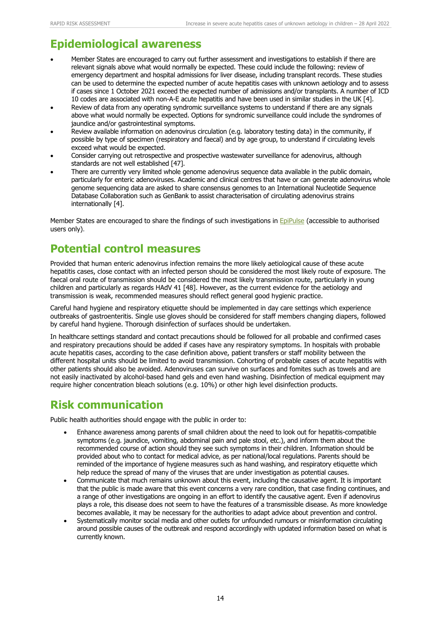## **Epidemiological awareness**

- Member States are encouraged to carry out further assessment and investigations to establish if there are relevant signals above what would normally be expected. These could include the following: review of emergency department and hospital admissions for liver disease, including transplant records. These studies can be used to determine the expected number of acute hepatitis cases with unknown aetiology and to assess if cases since 1 October 2021 exceed the expected number of admissions and/or transplants. A number of ICD 10 codes are associated with non-A-E acute hepatitis and have been used in similar studies in the UK [4].
- Review of data from any operating syndromic surveillance systems to understand if there are any signals above what would normally be expected. Options for syndromic surveillance could include the syndromes of jaundice and/or gastrointestinal symptoms.
- Review available information on adenovirus circulation (e.g. laboratory testing data) in the community, if possible by type of specimen (respiratory and faecal) and by age group, to understand if circulating levels exceed what would be expected.
- Consider carrying out retrospective and prospective wastewater surveillance for adenovirus, although standards are not well established [47].
- There are currently very limited whole genome adenovirus sequence data available in the public domain, particularly for enteric adenoviruses. Academic and clinical centres that have or can generate adenovirus whole genome sequencing data are asked to share consensus genomes to an International Nucleotide Sequence Database Collaboration such as GenBank to assist characterisation of circulating adenovirus strains internationally [4].

Member States are encouraged to share the findings of such investigations in [EpiPulse](https://epipulse.ecdc.europa.eu/ebs/#/item/details/2022-EIP-00027) (accessible to authorised users only).

### **Potential control measures**

Provided that human enteric adenovirus infection remains the more likely aetiological cause of these acute hepatitis cases, close contact with an infected person should be considered the most likely route of exposure. The faecal oral route of transmission should be considered the most likely transmission route, particularly in young children and particularly as regards HAdV 41 [48]. However, as the current evidence for the aetiology and transmission is weak, recommended measures should reflect general good hygienic practice.

Careful hand hygiene and respiratory etiquette should be implemented in day care settings which experience outbreaks of gastroenteritis. Single use gloves should be considered for staff members changing diapers, followed by careful hand hygiene. Thorough disinfection of surfaces should be undertaken.

In healthcare settings standard and contact precautions should be followed for all probable and confirmed cases and respiratory precautions should be added if cases have any respiratory symptoms. In hospitals with probable acute hepatitis cases, according to the case definition above, patient transfers or staff mobility between the different hospital units should be limited to avoid transmission. Cohorting of probable cases of acute hepatitis with other patients should also be avoided. Adenoviruses can survive on surfaces and fomites such as towels and are not easily inactivated by alcohol-based hand gels and even hand washing. Disinfection of medical equipment may require higher concentration bleach solutions (e.g. 10%) or other high level disinfection products.

## **Risk communication**

Public health authorities should engage with the public in order to:

- Enhance awareness among parents of small children about the need to look out for hepatitis-compatible symptoms (e.g. jaundice, vomiting, abdominal pain and pale stool, etc.), and inform them about the recommended course of action should they see such symptoms in their children. Information should be provided about who to contact for medical advice, as per national/local regulations. Parents should be reminded of the importance of hygiene measures such as hand washing, and respiratory etiquette which help reduce the spread of many of the viruses that are under investigation as potential causes.
- Communicate that much remains unknown about this event, including the causative agent. It is important that the public is made aware that this event concerns a very rare condition, that case finding continues, and a range of other investigations are ongoing in an effort to identify the causative agent. Even if adenovirus plays a role, this disease does not seem to have the features of a transmissible disease. As more knowledge becomes available, it may be necessary for the authorities to adapt advice about prevention and control.
- Systematically monitor social media and other outlets for unfounded rumours or misinformation circulating around possible causes of the outbreak and respond accordingly with updated information based on what is currently known.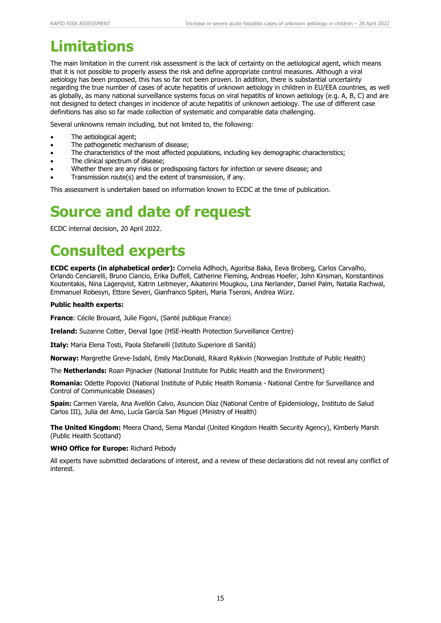# **Limitations**

The main limitation in the current risk assessment is the lack of certainty on the aetiological agent, which means that it is not possible to properly assess the risk and define appropriate control measures. Although a viral aetiology has been proposed, this has so far not been proven. In addition, there is substantial uncertainty regarding the true number of cases of acute hepatitis of unknown aetiology in children in EU/EEA countries, as well as globally, as many national surveillance systems focus on viral hepatitis of known aetiology (e.g. A, B, C) and are not designed to detect changes in incidence of acute hepatitis of unknown aetiology. The use of different case definitions has also so far made collection of systematic and comparable data challenging.

Several unknowns remain including, but not limited to, the following:

- The aetiological agent;
- The pathogenetic mechanism of disease;
- The characteristics of the most affected populations, including key demographic characteristics;
- The clinical spectrum of disease;
- Whether there are any risks or predisposing factors for infection or severe disease; and
- Transmission route(s) and the extent of transmission, if any.

This assessment is undertaken based on information known to ECDC at the time of publication.

## **Source and date of request**

ECDC internal decision, 20 April 2022.

# **Consulted experts**

**ECDC experts (in alphabetical order):** Cornelia Adlhoch, Agoritsa Baka, Eeva Broberg, Carlos Carvalho, Orlando Cenciarelli, Bruno Ciancio, Erika Duffell, Catherine Fleming, Andreas Hoefer, John Kinsman, Konstantinos Koutentakis, Nina Lagerqvist, Katrin Leitmeyer, Aikaterini Mougkou, Lina Nerlander, Daniel Palm, Natalia Rachwal, Emmanuel Robesyn, Ettore Severi, Gianfranco Spiteri, Maria Tseroni, Andrea Würz.

#### **Public health experts:**

**France**: Cécile Brouard, Julie Figoni, (Santé publique France)

**Ireland:** Suzanne Cotter, Derval Igoe (HSE-Health Protection Surveillance Centre)

**Italy:** Maria Elena Tosti, Paola Stefanelli (Istituto Superiore di Sanità)

**Norway:** Margrethe Greve-Isdahl, Emily MacDonald, Rikard Rykkvin (Norwegian Institute of Public Health)

The **Netherlands:** Roan Pijnacker (National Institute for Public Health and the Environment)

**Romania:** Odette Popovici (National Institute of Public Health Romania - National Centre for Surveillance and Control of Communicable Diseases)

**Spain:** Carmen Varela, Ana Avellón Calvo, Asuncion Díaz (National Centre of Epidemiology, Instituto de Salud Carlos III), Julia del Amo, Lucía García San Miguel (Ministry of Health)

**The United Kingdom:** Meera Chand, Sema Mandal (United Kingdom Health Security Agency), Kimberly Marsh (Public Health Scotland)

#### **WHO Office for Europe:** Richard Pebody

All experts have submitted declarations of interest, and a review of these declarations did not reveal any conflict of interest.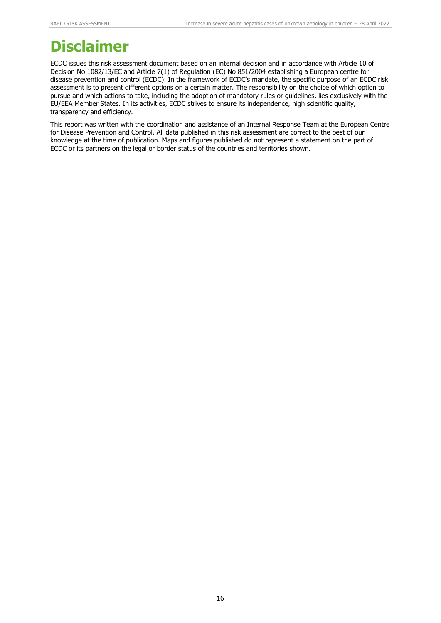## **Disclaimer**

ECDC issues this risk assessment document based on an internal decision and in accordance with Article 10 of Decision No 1082/13/EC and Article 7(1) of Regulation (EC) No 851/2004 establishing a European centre for disease prevention and control (ECDC). In the framework of ECDC's mandate, the specific purpose of an ECDC risk assessment is to present different options on a certain matter. The responsibility on the choice of which option to pursue and which actions to take, including the adoption of mandatory rules or guidelines, lies exclusively with the EU/EEA Member States. In its activities, ECDC strives to ensure its independence, high scientific quality, transparency and efficiency.

This report was written with the coordination and assistance of an Internal Response Team at the European Centre for Disease Prevention and Control. All data published in this risk assessment are correct to the best of our knowledge at the time of publication. Maps and figures published do not represent a statement on the part of ECDC or its partners on the legal or border status of the countries and territories shown.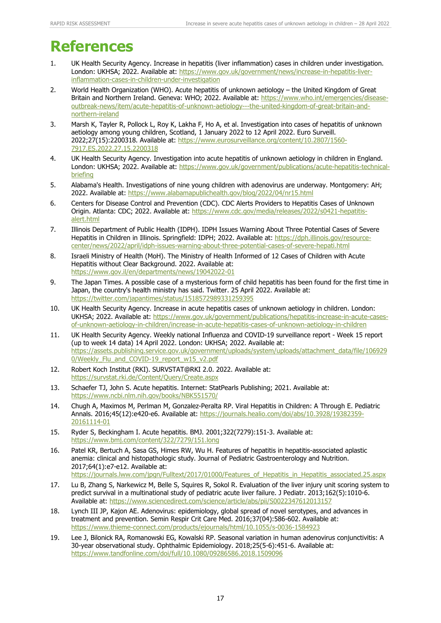## **References**

- 1. UK Health Security Agency. Increase in hepatitis (liver inflammation) cases in children under investigation. London: UKHSA; 2022. Available at: [https://www.gov.uk/government/news/increase-in-hepatitis-liver](https://www.gov.uk/government/news/increase-in-hepatitis-liver-inflammation-cases-in-children-under-investigation)[inflammation-cases-in-children-under-investigation](https://www.gov.uk/government/news/increase-in-hepatitis-liver-inflammation-cases-in-children-under-investigation)
- 2. World Health Organization (WHO). Acute hepatitis of unknown aetiology the United Kingdom of Great Britain and Northern Ireland. Geneva: WHO; 2022. Available at: [https://www.who.int/emergencies/disease](https://www.who.int/emergencies/disease-outbreak-news/item/acute-hepatitis-of-unknown-aetiology---the-united-kingdom-of-great-britain-and-northern-ireland)[outbreak-news/item/acute-hepatitis-of-unknown-aetiology---the-united-kingdom-of-great-britain-and](https://www.who.int/emergencies/disease-outbreak-news/item/acute-hepatitis-of-unknown-aetiology---the-united-kingdom-of-great-britain-and-northern-ireland)[northern-ireland](https://www.who.int/emergencies/disease-outbreak-news/item/acute-hepatitis-of-unknown-aetiology---the-united-kingdom-of-great-britain-and-northern-ireland)
- 3. Marsh K, Tayler R, Pollock L, Roy K, Lakha F, Ho A, et al. Investigation into cases of hepatitis of unknown aetiology among young children, Scotland, 1 January 2022 to 12 April 2022. Euro Surveill. 2022;27(15):2200318. Available at: [https://www.eurosurveillance.org/content/10.2807/1560-](https://www.eurosurveillance.org/content/10.2807/1560-7917.ES.2022.27.15.2200318) [7917.ES.2022.27.15.2200318](https://www.eurosurveillance.org/content/10.2807/1560-7917.ES.2022.27.15.2200318)
- 4. UK Health Security Agency. Investigation into acute hepatitis of unknown aetiology in children in England. London: UKHSA; 2022. Available at: [https://www.gov.uk/government/publications/acute-hepatitis-technical](https://www.gov.uk/government/publications/acute-hepatitis-technical-briefing)[briefing](https://www.gov.uk/government/publications/acute-hepatitis-technical-briefing)
- 5. Alabama's Health. Investigations of nine young children with adenovirus are underway. Montgomery: AH; 2022. Available at:<https://www.alabamapublichealth.gov/blog/2022/04/nr15.html>
- 6. Centers for Disease Control and Prevention (CDC). CDC Alerts Providers to Hepatitis Cases of Unknown Origin. Atlanta: CDC; 2022. Available at: [https://www.cdc.gov/media/releases/2022/s0421-hepatitis](https://www.cdc.gov/media/releases/2022/s0421-hepatitis-alert.html)[alert.html](https://www.cdc.gov/media/releases/2022/s0421-hepatitis-alert.html)
- 7. Illinois Department of Public Health (IDPH). IDPH Issues Warning About Three Potential Cases of Severe Hepatitis in Children in Illinois. Springfield: IDPH; 2022. Available at: [https://dph.illinois.gov/resource](https://dph.illinois.gov/resource-center/news/2022/april/idph-issues-warning-about-three-potential-cases-of-severe-hepati.html)[center/news/2022/april/idph-issues-warning-about-three-potential-cases-of-severe-hepati.html](https://dph.illinois.gov/resource-center/news/2022/april/idph-issues-warning-about-three-potential-cases-of-severe-hepati.html)
- 8. Israeli Ministry of Health (MoH). The Ministry of Health Informed of 12 Cases of Children with Acute Hepatitis without Clear Background. 2022. Available at: <https://www.gov.il/en/departments/news/19042022-01>
- 9. The Japan Times. A possible case of a mysterious form of child hepatitis has been found for the first time in Japan, the country's health ministry has said. Twitter. 25 April 2022. Available at: <https://twitter.com/japantimes/status/1518572989331259395>
- 10. UK Health Security Agency. Increase in acute hepatitis cases of unknown aetiology in children. London: UKHSA; 2022. Available at: [https://www.gov.uk/government/publications/hepatitis-increase-in-acute-cases](https://www.gov.uk/government/publications/hepatitis-increase-in-acute-cases-of-unknown-aetiology-in-children/increase-in-acute-hepatitis-cases-of-unknown-aetiology-in-children)[of-unknown-aetiology-in-children/increase-in-acute-hepatitis-cases-of-unknown-aetiology-in-children](https://www.gov.uk/government/publications/hepatitis-increase-in-acute-cases-of-unknown-aetiology-in-children/increase-in-acute-hepatitis-cases-of-unknown-aetiology-in-children)
- 11. UK Health Security Agency. Weekly national Influenza and COVID-19 surveillance report Week 15 report (up to week 14 data) 14 April 2022. London: UKHSA; 2022. Available at: [https://assets.publishing.service.gov.uk/government/uploads/system/uploads/attachment\\_data/file/106929](https://assets.publishing.service.gov.uk/government/uploads/system/uploads/attachment_data/file/1069290/Weekly_Flu_and_COVID-19_report_w15_v2.pdf) [0/Weekly\\_Flu\\_and\\_COVID-19\\_report\\_w15\\_v2.pdf](https://assets.publishing.service.gov.uk/government/uploads/system/uploads/attachment_data/file/1069290/Weekly_Flu_and_COVID-19_report_w15_v2.pdf)
- 12. Robert Koch Institut (RKI). SURVSTAT@RKI 2.0. 2022. Available at: <https://survstat.rki.de/Content/Query/Create.aspx>
- 13. Schaefer TJ, John S. Acute hepatitis. Internet: StatPearls Publishing; 2021. Available at: <https://www.ncbi.nlm.nih.gov/books/NBK551570/>
- 14. Chugh A, Maximos M, Perlman M, Gonzalez-Peralta RP. Viral Hepatitis in Children: A Through E. Pediatric Annals. 2016;45(12):e420-e6. Available at: [https://journals.healio.com/doi/abs/10.3928/19382359-](https://journals.healio.com/doi/abs/10.3928/19382359-20161114-01) [20161114-01](https://journals.healio.com/doi/abs/10.3928/19382359-20161114-01)
- 15. Ryder S, Beckingham I. Acute hepatitis. BMJ. 2001;322(7279):151-3. Available at: <https://www.bmj.com/content/322/7279/151.long>
- 16. Patel KR, Bertuch A, Sasa GS, Himes RW, Wu H. Features of hepatitis in hepatitis-associated aplastic anemia: clinical and histopathologic study. Journal of Pediatric Gastroenterology and Nutrition. 2017;64(1):e7-e12. Available at: [https://journals.lww.com/jpgn/Fulltext/2017/01000/Features\\_of\\_Hepatitis\\_in\\_Hepatitis\\_associated.25.aspx](https://journals.lww.com/jpgn/Fulltext/2017/01000/Features_of_Hepatitis_in_Hepatitis_associated.25.aspx)
- 17. Lu B, Zhang S, Narkewicz M, Belle S, Squires R, Sokol R. Evaluation of the liver injury unit scoring system to predict survival in a multinational study of pediatric acute liver failure. J Pediatr. 2013;162(5):1010-6. Available at:<https://www.sciencedirect.com/science/article/abs/pii/S0022347612013157>
- 18. Lynch III JP, Kajon AE. Adenovirus: epidemiology, global spread of novel serotypes, and advances in treatment and prevention. Semin Respir Crit Care Med. 2016;37(04):586-602. Available at: <https://www.thieme-connect.com/products/ejournals/html/10.1055/s-0036-1584923>
- 19. Lee J, Bilonick RA, Romanowski EG, Kowalski RP. Seasonal variation in human adenovirus conjunctivitis: A 30-year observational study. Ophthalmic Epidemiology. 2018;25(5-6):451-6. Available at: <https://www.tandfonline.com/doi/full/10.1080/09286586.2018.1509096>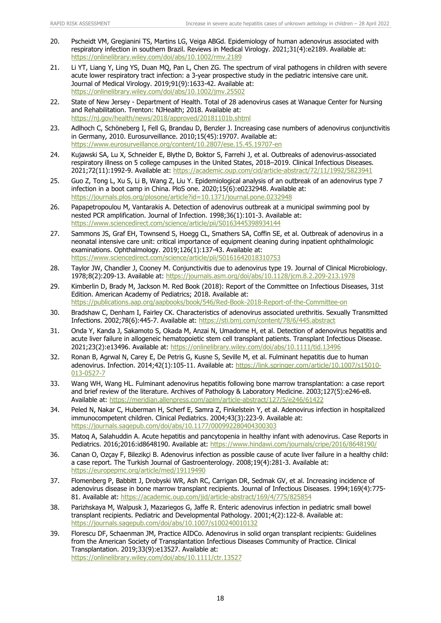- 20. Pscheidt VM, Gregianini TS, Martins LG, Veiga ABGd. Epidemiology of human adenovirus associated with respiratory infection in southern Brazil. Reviews in Medical Virology. 2021;31(4):e2189. Available at: <https://onlinelibrary.wiley.com/doi/abs/10.1002/rmv.2189>
- 21. Li YT, Liang Y, Ling YS, Duan MQ, Pan L, Chen ZG. The spectrum of viral pathogens in children with severe acute lower respiratory tract infection: a 3‐year prospective study in the pediatric intensive care unit. Journal of Medical Virology. 2019;91(9):1633-42. Available at: <https://onlinelibrary.wiley.com/doi/abs/10.1002/jmv.25502>
- 22. State of New Jersey Department of Health. Total of 28 adenovirus cases at Wanaque Center for Nursing and Rehabilitation. Trenton: NJHealth; 2018. Available at: <https://nj.gov/health/news/2018/approved/20181101b.shtml>
- 23. Adlhoch C, Schöneberg I, Fell G, Brandau D, Benzler J. Increasing case numbers of adenovirus conjunctivitis in Germany, 2010. Eurosurveillance. 2010;15(45):19707. Available at: <https://www.eurosurveillance.org/content/10.2807/ese.15.45.19707-en>
- 24. Kujawski SA, Lu X, Schneider E, Blythe D, Boktor S, Farrehi J, et al. Outbreaks of adenovirus-associated respiratory illness on 5 college campuses in the United States, 2018–2019. Clinical Infectious Diseases. 2021;72(11):1992-9. Available at:<https://academic.oup.com/cid/article-abstract/72/11/1992/5823941>
- 25. Guo Z, Tong L, Xu S, Li B, Wang Z, Liu Y. Epidemiological analysis of an outbreak of an adenovirus type 7 infection in a boot camp in China. PloS one. 2020;15(6):e0232948. Available at: <https://journals.plos.org/plosone/article?id=10.1371/journal.pone.0232948>
- 26. Papapetropoulou M, Vantarakis A. Detection of adenovirus outbreak at a municipal swimming pool by nested PCR amplification. Journal of Infection. 1998;36(1):101-3. Available at: <https://www.sciencedirect.com/science/article/pii/S0163445398934144>
- 27. Sammons JS, Graf EH, Townsend S, Hoegg CL, Smathers SA, Coffin SE, et al. Outbreak of adenovirus in a neonatal intensive care unit: critical importance of equipment cleaning during inpatient ophthalmologic examinations. Ophthalmology. 2019;126(1):137-43. Available at: <https://www.sciencedirect.com/science/article/pii/S0161642018310753>
- 28. Taylor JW, Chandler J, Cooney M. Conjunctivitis due to adenovirus type 19. Journal of Clinical Microbiology. 1978;8(2):209-13. Available at:<https://journals.asm.org/doi/abs/10.1128/jcm.8.2.209-213.1978>
- 29. Kimberlin D, Brady M, Jackson M. Red Book (2018): Report of the Committee on Infectious Diseases, 31st Edition. American Academy of Pediatrics; 2018. Available at: <https://publications.aap.org/aapbooks/book/546/Red-Book-2018-Report-of-the-Committee-on>
- 30. Bradshaw C, Denham I, Fairley CK. Characteristics of adenovirus associated urethritis. Sexually Transmitted Infections. 2002;78(6):445-7. Available at:<https://sti.bmj.com/content/78/6/445.abstract>
- 31. Onda Y, Kanda J, Sakamoto S, Okada M, Anzai N, Umadome H, et al. Detection of adenovirus hepatitis and acute liver failure in allogeneic hematopoietic stem cell transplant patients. Transplant Infectious Disease. 2021;23(2):e13496. Available at:<https://onlinelibrary.wiley.com/doi/abs/10.1111/tid.13496>
- 32. Ronan B, Agrwal N, Carey E, De Petris G, Kusne S, Seville M, et al. Fulminant hepatitis due to human adenovirus. Infection. 2014;42(1):105-11. Available at: [https://link.springer.com/article/10.1007/s15010-](https://link.springer.com/article/10.1007/s15010-013-0527-7) [013-0527-7](https://link.springer.com/article/10.1007/s15010-013-0527-7)
- 33. Wang WH, Wang HL. Fulminant adenovirus hepatitis following bone marrow transplantation: a case report and brief review of the literature. Archives of Pathology & Laboratory Medicine. 2003;127(5):e246-e8. Available at:<https://meridian.allenpress.com/aplm/article-abstract/127/5/e246/61422>
- 34. Peled N, Nakar C, Huberman H, Scherf E, Samra Z, Finkelstein Y, et al. Adenovirus infection in hospitalized immunocompetent children. Clinical Pediatrics. 2004;43(3):223-9. Available at: <https://journals.sagepub.com/doi/abs/10.1177/000992280404300303>
- 35. Matoq A, Salahuddin A. Acute hepatitis and pancytopenia in healthy infant with adenovirus. Case Reports in Pediatrics. 2016;2016:id8648190. Available at:<https://www.hindawi.com/journals/cripe/2016/8648190/>
- 36. Canan O, Ozçay F, Bilezikçi B. Adenovirus infection as possible cause of acute liver failure in a healthy child: a case report. The Turkish Journal of Gastroenterology. 2008;19(4):281-3. Available at: <https://europepmc.org/article/med/19119490>
- 37. Flomenberg P, Babbitt J, Drobyski WR, Ash RC, Carrigan DR, Sedmak GV, et al. Increasing incidence of adenovirus disease in bone marrow transplant recipients. Journal of Infectious Diseases. 1994;169(4):775- 81. Available at:<https://academic.oup.com/jid/article-abstract/169/4/775/825854>
- 38. Parizhskaya M, Walpusk J, Mazariegos G, Jaffe R. Enteric adenovirus infection in pediatric small bowel transplant recipients. Pediatric and Developmental Pathology. 2001;4(2):122-8. Available at: <https://journals.sagepub.com/doi/abs/10.1007/s100240010132>
- 39. Florescu DF, Schaenman JM, Practice AIDCo. Adenovirus in solid organ transplant recipients: Guidelines from the American Society of Transplantation Infectious Diseases Community of Practice. Clinical Transplantation. 2019;33(9):e13527. Available at: <https://onlinelibrary.wiley.com/doi/abs/10.1111/ctr.13527>